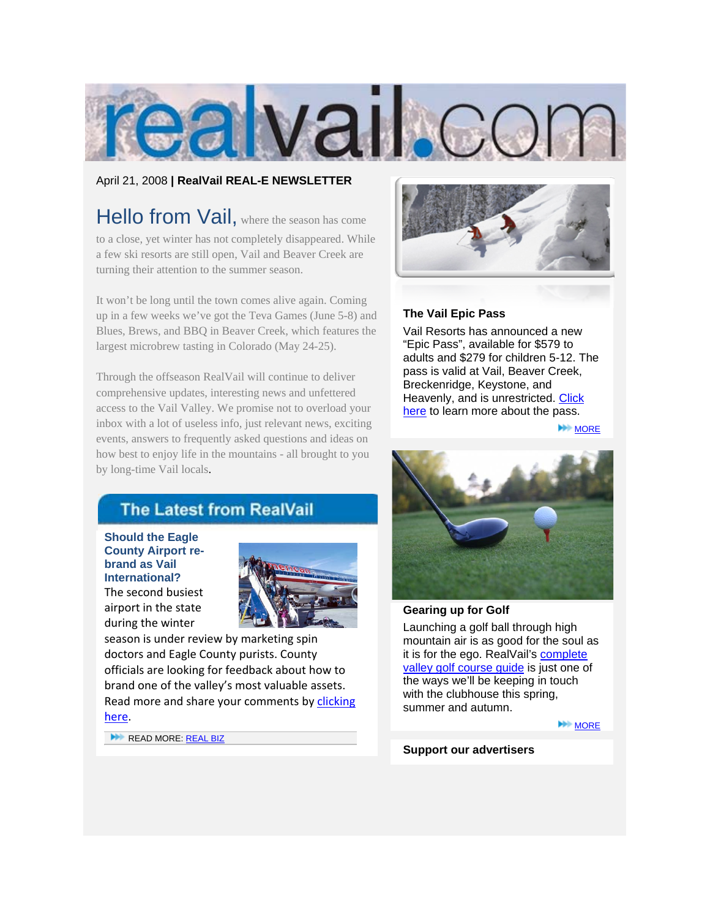

# April 21, 2008 **| RealVail REAL-E NEWSLETTER**

Hello from Vail, where the season has come to a close, yet winter has not completely disappeared. While a few ski resorts are still open, Vail and Beaver Creek are turning their attention to the summer season.

It won't be long until the town comes alive again. Coming up in a few weeks we've got the Teva Games (June 5-8) and Blues, Brews, and BBQ in Beaver Creek, which features the largest microbrew tasting in Colorado (May 24-25).

Through the offseason RealVail will continue to deliver comprehensive updates, interesting news and unfettered access to the Vail Valley. We promise not to overload your inbox with a lot of useless info, just relevant news, exciting events, answers to frequently asked questions and ideas on how best to enjoy life in the mountains - all brought to you by long-time Vail locals.



# **The Vail Epic Pass**

Vail Resorts has announced a new "Epic Pass", available for \$579 to [adults and \\$279 for children 5-12. The](http://www.realvail.com/RealNews/221/Vail-announces-unrestricted-ski-pass-available-for-579.html)  pass is valid at Vail, Beaver Creek, Breckenridge, Keystone, and Heavenly, and is unrestricted. Click here to learn more about the pass.

**MORE** 

# **The Latest from RealVail**

**Should the Eagle [County Airport re](http://www.realvail.com/RealBiz/243/Should-the-Eagle-County-Airport-re-brand-as-Vail-International.html)brand as Vail International?** The second busiest airport in the state during the winter



season is under review by marketing spin doctors and Eagle County purists. County officials are looking for feedback about how to brand one of the valley's most valuable assets. Read more and share your comments by clicking here.

READ MORE: REAL BIZ



## **Gearing up for Golf**

Launching a golf ball through high [mountain air is as good for the soul as](http://www.realvail.com/ResortGuides/18/Vail-Valley-golfers-guide.html)  it is for the ego. RealVail's complete valley golf course guide is just one of the ways we'll be keeping in touch with the clubhouse this spring, summer and autumn.

**MORE** 

**Support our advertisers**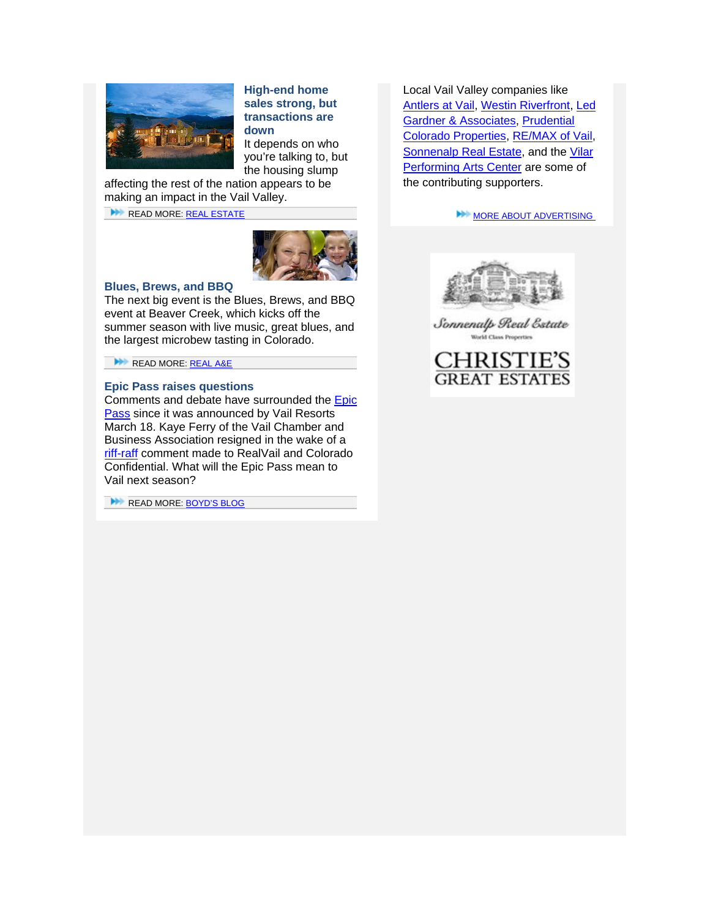

**High-end home sales strong, but transactions are down**

It depends on who you're talking to, but the housing slump

[affecting the rest of the nation appears to be](http://www.realvail.com/RealEstate/241/Countys-high-end-homes-sales-still-strong-but-overall-market-lagging.html)  making an impact in the Vail Valley.

READ MORE: REAL ESTATE



#### **Blues, Brews, and BBQ**

[The next big event is the Blues, Brews, and BBQ](http://www.realvail.com/RealAE/)  event at Beaver Creek, which kicks off the summer season with live music, great blues, and the largest microbew tasting in Colorado.

READ MORE: REAL A&E

### **Epic Pass raises questions**

Comments and debate have surrounded the **Epic** Pass since it was announced by Vail Resorts March 18. Kaye Ferry of the Vail Chamber and Business Association resigned in the wake of a riff-raff comment made to RealVail and Colorado Confidential. What will the Epic Pass mean to Vail next season?

READ MORE: BOYD'S BLOG

Local Vail Valley companies like [Antlers at Vail, Westin Riverfront, Led](http://www.realvail.com/advertise.html)  Gardner & Associates, Prudential Colorado Properties, RE/MAX of Vail, Sonnenalp Real Estate, and the Vilar Performing Arts Center are some of the contributing supporters.

**MORE ABOUT ADVERTISING** 



Sonnenalp Real Estate